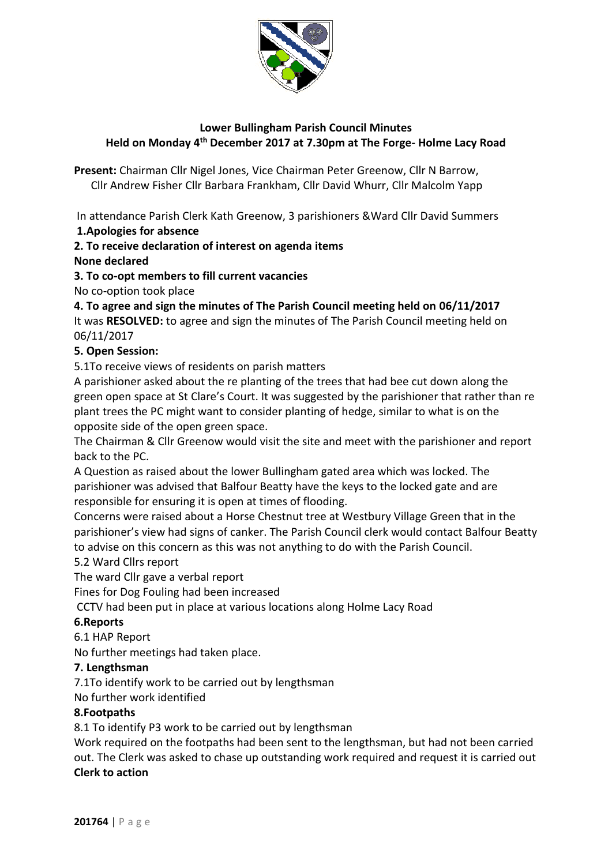

# **Lower Bullingham Parish Council Minutes Held on Monday 4 th December 2017 at 7.30pm at The Forge- Holme Lacy Road**

**Present:** Chairman Cllr Nigel Jones, Vice Chairman Peter Greenow, Cllr N Barrow, Cllr Andrew Fisher Cllr Barbara Frankham, Cllr David Whurr, Cllr Malcolm Yapp

In attendance Parish Clerk Kath Greenow, 3 parishioners &Ward Cllr David Summers **1.Apologies for absence**

# **2. To receive declaration of interest on agenda items**

# **None declared**

**3. To co-opt members to fill current vacancies** 

No co-option took place

# **4. To agree and sign the minutes of The Parish Council meeting held on 06/11/2017**

It was **RESOLVED:** to agree and sign the minutes of The Parish Council meeting held on 06/11/2017

## **5. Open Session:**

5.1To receive views of residents on parish matters

A parishioner asked about the re planting of the trees that had bee cut down along the green open space at St Clare's Court. It was suggested by the parishioner that rather than re plant trees the PC might want to consider planting of hedge, similar to what is on the opposite side of the open green space.

The Chairman & Cllr Greenow would visit the site and meet with the parishioner and report back to the PC.

A Question as raised about the lower Bullingham gated area which was locked. The parishioner was advised that Balfour Beatty have the keys to the locked gate and are responsible for ensuring it is open at times of flooding.

Concerns were raised about a Horse Chestnut tree at Westbury Village Green that in the parishioner's view had signs of canker. The Parish Council clerk would contact Balfour Beatty to advise on this concern as this was not anything to do with the Parish Council.

#### 5.2 Ward Cllrs report

The ward Cllr gave a verbal report

Fines for Dog Fouling had been increased

CCTV had been put in place at various locations along Holme Lacy Road

#### **6.Reports**

6.1 HAP Report

No further meetings had taken place.

#### **7. Lengthsman**

7.1To identify work to be carried out by lengthsman

No further work identified

#### **8.Footpaths**

8.1 To identify P3 work to be carried out by lengthsman

Work required on the footpaths had been sent to the lengthsman, but had not been carried out. The Clerk was asked to chase up outstanding work required and request it is carried out **Clerk to action**